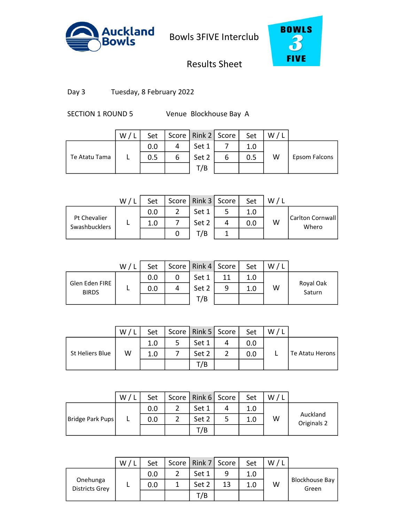



# Results Sheet

Day 3 Tuesday, 8 February 2022

SECTION 1 ROUND 5 Venue Blockhouse Bay A

|               | W/L | Set |   | Score   Rink 2   Score |   | Set | W, |               |
|---------------|-----|-----|---|------------------------|---|-----|----|---------------|
|               |     | 0.0 |   | Set 1                  |   | 1.0 |    |               |
| Te Atatu Tama |     | 0.5 | 6 | Set 2                  | ь | 0.5 | W  | Epsom Falcons |
|               |     |     |   | T/B                    |   |     |    |               |
|               |     |     |   |                        |   |     |    |               |

|                                      | W/I | Set |   | Score   Rink 3   Score | Set | W |                            |
|--------------------------------------|-----|-----|---|------------------------|-----|---|----------------------------|
|                                      |     | 0.0 | ⌒ | Set 1                  | 1.0 |   |                            |
| Pt Chevalier<br><b>Swashbucklers</b> |     | 1.0 |   | Set 2                  | 0.0 | W | Carlton Cornwall <br>Whero |
|                                      |     |     |   | T/B                    |     |   |                            |

|                                | W/L | Set |   | Score   Rink 4   Score |    | Set | W/L |                     |
|--------------------------------|-----|-----|---|------------------------|----|-----|-----|---------------------|
|                                |     | 0.0 |   | Set 1                  | 11 | 1.0 |     |                     |
| Glen Eden FIRE<br><b>BIRDS</b> |     | 0.0 | 4 | Set 2                  | 9  | 1.0 | W   | Royal Oak<br>Saturn |
|                                |     |     |   | T/B                    |    |     |     |                     |
|                                |     |     |   |                        |    |     |     |                     |

|                 | W | Set | Score   Rink 5   Score | Set | W |                 |
|-----------------|---|-----|------------------------|-----|---|-----------------|
|                 |   | 1.0 | Set 1                  | 0.0 |   |                 |
| St Heliers Blue | W | 1.0 | Set 2                  | 0.0 |   | Te Atatu Herons |
|                 |   |     | T/B                    |     |   |                 |

|                  | W/ | Set |   | Score   Rink 6   Score | Set | W/L |                         |
|------------------|----|-----|---|------------------------|-----|-----|-------------------------|
|                  |    | 0.0 | ำ | Set 1                  | 1.0 |     |                         |
| Bridge Park Pups |    | 0.0 | າ | Set 2                  | 1.0 | W   | Auckland<br>Originals 2 |
|                  |    |     |   | T/B                    |     |     |                         |
|                  |    |     |   |                        |     |     |                         |

|                                   | W | Set | Score   Rink 7   Score |    | Set | W |                         |
|-----------------------------------|---|-----|------------------------|----|-----|---|-------------------------|
|                                   |   | 0.0 | Set 1                  | 9  | 1.0 |   |                         |
| Onehunga<br><b>Districts Grey</b> |   | 0.0 | Set 2                  | 13 | 1.0 | W | Blockhouse Bay<br>Green |
|                                   |   |     | T/B                    |    |     |   |                         |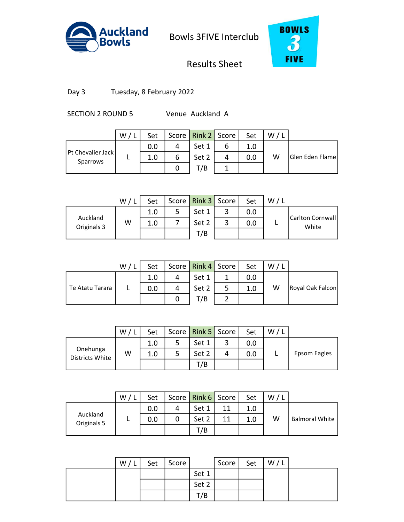



# Results Sheet

Day 3 Tuesday, 8 February 2022

SECTION 2 ROUND 5 Venue Auckland A

|                               | W / L | Set |   | Score   Rink 2   Score |   | Set | W/I |                 |
|-------------------------------|-------|-----|---|------------------------|---|-----|-----|-----------------|
|                               |       | 0.0 | 4 | Set 1                  | ь | 1.0 |     |                 |
| Pt Chevalier Jack<br>Sparrows |       | 1.0 | 6 | Set 2                  | 4 | 0.0 | w   | Glen Eden Flame |
|                               |       |     |   | T/B                    |   |     |     |                 |
|                               |       |     |   |                        |   |     |     |                 |

|                         | W/I | Set | Score   Rink 3   Score |   | Set | W |                             |
|-------------------------|-----|-----|------------------------|---|-----|---|-----------------------------|
|                         |     | 1.0 | Set 1                  |   | 0.0 |   |                             |
| Auckland<br>Originals 3 | W   | 1.0 | Set 2                  | ٮ | 0.0 |   | Carlton Cornwall  <br>White |
|                         |     |     | T/B                    |   |     |   |                             |

|                 | W/L | Set |   | Score   Rink 4   Score |   | Set | W/L |                  |
|-----------------|-----|-----|---|------------------------|---|-----|-----|------------------|
|                 |     | 1.0 | 4 | Set 1                  |   | 0.0 |     |                  |
| Te Atatu Tarara |     | 0.0 | 4 | Set 2                  | 5 | 1.0 | W   | Royal Oak Falcon |
|                 |     |     |   | T/B                    |   |     |     |                  |
|                 |     |     |   |                        |   |     |     |                  |

|                             | W | Set | Score   Rink 5   Score | Set | W |              |
|-----------------------------|---|-----|------------------------|-----|---|--------------|
|                             |   | 1.0 | Set 1                  | 0.0 |   |              |
| Onehunga<br>Districts White | W | 1.0 | Set 2                  | 0.0 |   | Epsom Eagles |
|                             |   |     | T/B                    |     |   |              |

|                         | W/L | Set |   | Score   Rink 6   Score |    | Set | W/L |                       |
|-------------------------|-----|-----|---|------------------------|----|-----|-----|-----------------------|
| Auckland<br>Originals 5 |     | 0.0 | 4 | Set 1                  | 11 | 1.0 |     |                       |
|                         |     | 0.0 | 0 | Set 2                  | 11 | 1.0 | W   | <b>Balmoral White</b> |
|                         |     |     |   | T/B                    |    |     |     |                       |
|                         |     |     |   |                        |    |     |     |                       |

| W/L | Set | Score |       | Score | Set | W/L |  |
|-----|-----|-------|-------|-------|-----|-----|--|
|     |     |       | Set 1 |       |     |     |  |
|     |     |       | Set 2 |       |     |     |  |
|     |     |       | T/B   |       |     |     |  |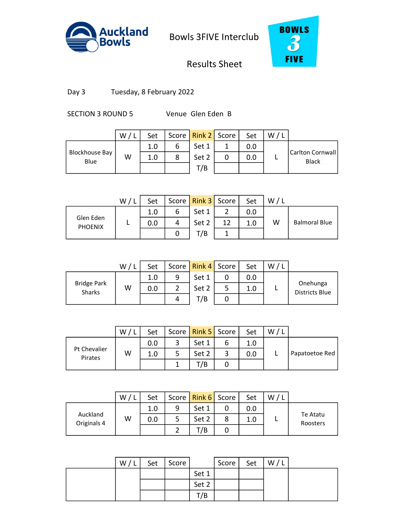



# Results Sheet

Day 3 Tuesday, 8 February 2022

SECTION 3 ROUND 5 Venue Glen Eden B

|                               | W' | Set |   | Score   Rink 2   Score |   | Set | W |                                   |
|-------------------------------|----|-----|---|------------------------|---|-----|---|-----------------------------------|
|                               |    | 1.0 | 6 | Set 1                  |   | 0.0 |   |                                   |
| <b>Blockhouse Bay</b><br>Blue | W  | 1.0 | 8 | Set 2                  | 0 | 0.0 |   | Carlton Cornwall <br><b>Black</b> |
|                               |    |     |   | T/B                    |   |     |   |                                   |
|                               |    |     |   |                        |   |     |   |                                   |

|                             | W / L | Set |   | Score   Rink 3   Score |    | Set | W/L |                      |
|-----------------------------|-------|-----|---|------------------------|----|-----|-----|----------------------|
|                             |       | 1.0 | b | Set 1                  |    | 0.0 |     |                      |
| Glen Eden<br><b>PHOENIX</b> |       | 0.0 | 4 | Set 2                  | 12 | 1.0 | w   | <b>Balmoral Blue</b> |
|                             |       |     |   | T/B                    |    |     |     |                      |

|                              | W/I | Set |   | Score   Rink 4   Score |   | Set | W. |                                   |
|------------------------------|-----|-----|---|------------------------|---|-----|----|-----------------------------------|
|                              |     | 1.0 | 9 | Set 1                  | 0 | 0.0 |    |                                   |
| <b>Bridge Park</b><br>Sharks | W   | 0.0 | ာ | Set 2                  | 5 | 1.0 |    | Onehunga<br><b>Districts Blue</b> |
|                              |     |     | 4 | T/B                    |   |     |    |                                   |
|                              |     |     |   |                        |   |     |    |                                   |

|                         | W | Set | Score   Rink 5   Score |   | Set | W |                |
|-------------------------|---|-----|------------------------|---|-----|---|----------------|
|                         |   | 0.0 | Set 1                  |   |     |   |                |
| Pt Chevalier<br>Pirates | W | 1.0 | Set 2                  | ت | 0.0 |   | Papatoetoe Red |
|                         |   |     | 7B                     |   |     |   |                |

|                         | W | Set |   | Score   Rink 6   Score | Set | W |                      |
|-------------------------|---|-----|---|------------------------|-----|---|----------------------|
|                         |   | 1.0 | q | Set 1                  | 0.0 |   |                      |
| Auckland<br>Originals 4 | W | 0.0 |   | Set 2                  |     |   | Te Atatu<br>Roosters |
|                         |   |     |   | /B                     |     |   |                      |

3 1.0 14 8 1.0 0

| W/L | Set | Score |       | Score | Set | W/L |  |
|-----|-----|-------|-------|-------|-----|-----|--|
|     |     |       | Set 1 |       |     |     |  |
|     |     |       | Set 2 |       |     |     |  |
|     |     |       | T/B   |       |     |     |  |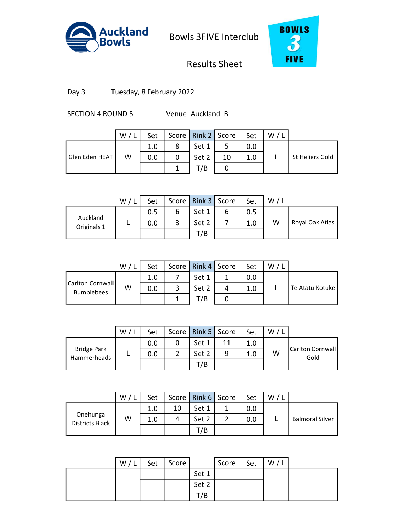



# Results Sheet

Day 3 Tuesday, 8 February 2022

SECTION 4 ROUND 5 Venue Auckland B

|                | W | Set |   | Score   Rink 2   Score |    | Set | W |                 |
|----------------|---|-----|---|------------------------|----|-----|---|-----------------|
|                |   | 1.0 | 8 | Set 1                  |    | 0.0 |   |                 |
| Glen Eden HEAT | W | 0.0 |   | Set 2                  | 10 | 1.0 |   | St Heliers Gold |
|                |   |     |   | T/B                    |    |     |   |                 |
|                |   |     |   |                        |    |     |   |                 |

|                         | W/l | Set |        | Score   Rink 3   Score |   | Set | W |                 |
|-------------------------|-----|-----|--------|------------------------|---|-----|---|-----------------|
|                         |     | 0.5 | O      | Set 1                  | o | 0.5 |   |                 |
| Auckland<br>Originals 1 |     | 0.0 | ◠<br>ب | Set 2                  |   | 1.0 | W | Royal Oak Atlas |
|                         |     |     |        | T/B                    |   |     |   |                 |

|                                       | W/L | Set |   | Score   Rink 4   Score |   | Set | W/l |                 |
|---------------------------------------|-----|-----|---|------------------------|---|-----|-----|-----------------|
|                                       |     | 1.0 |   | Set 1                  |   | 0.0 |     |                 |
| Carlton Cornwall<br><b>Bumblebees</b> | W   | 0.0 | 3 | Set 2                  | 4 | 1.0 |     | Te Atatu Kotuke |
|                                       |     |     |   | T/B                    |   |     |     |                 |
|                                       |     |     |   |                        |   |     |     |                 |

|                                   | W | Set | Score   Rink 5   Score |   | Set | W |                            |
|-----------------------------------|---|-----|------------------------|---|-----|---|----------------------------|
|                                   |   | 0.0 | Set 1                  |   | 1.0 |   |                            |
| <b>Bridge Park</b><br>Hammerheads |   | 0.0 | Set 2                  | q | 1.0 | W | Carlton Cornwall  <br>Gold |
|                                   |   |     | T/B                    |   |     |   |                            |

|                                    | W/L | Set |    | Score   Rink $6$   Score | Set | W/L |                        |
|------------------------------------|-----|-----|----|--------------------------|-----|-----|------------------------|
|                                    |     | 1.0 | 10 | Set 1                    | 0.0 |     |                        |
| Onehunga<br><b>Districts Black</b> | W   | 1.0 | 4  | Set 2                    | 0.0 |     | <b>Balmoral Silver</b> |
|                                    |     |     |    | T/B                      |     |     |                        |
|                                    |     |     |    |                          |     |     |                        |

| W/l | Set | Score |       | Score | Set | W/L |  |
|-----|-----|-------|-------|-------|-----|-----|--|
|     |     |       | Set 1 |       |     |     |  |
|     |     |       | Set 2 |       |     |     |  |
|     |     |       | T/B   |       |     |     |  |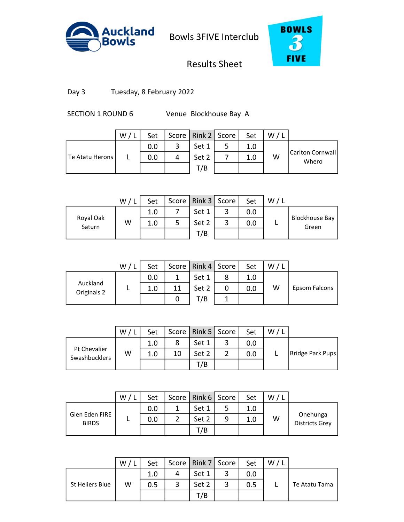



# Results Sheet

Day 3 Tuesday, 8 February 2022

SECTION 1 ROUND 6 Venue Blockhouse Bay A

|                 | W/L | Set |   | Score   Rink 2   Score | Set | W |                            |
|-----------------|-----|-----|---|------------------------|-----|---|----------------------------|
|                 |     | 0.0 | 2 | Set 1                  | 1.0 |   |                            |
| Te Atatu Herons |     | 0.0 | 4 | Set 2                  | 1.0 | W | Carlton Cornwall <br>Whero |
|                 |     |     |   | T/B                    |     |   |                            |
|                 |     |     |   |                        |     |   |                            |

|                     | W/1 | Set | Score   Rink 3   Score |   | Set | W |                                |
|---------------------|-----|-----|------------------------|---|-----|---|--------------------------------|
|                     |     | 1.0 | Set 1                  | ٮ | 0.0 |   |                                |
| Royal Oak<br>Saturn | W   | 1.0 | Set 2                  | ٮ | 0.0 |   | <b>Blockhouse Bay</b><br>Green |
|                     |     |     | T/B                    |   |     |   |                                |

|                         | W/l | Set |    | Score   Rink 4   Score |   | Set | W/l |               |
|-------------------------|-----|-----|----|------------------------|---|-----|-----|---------------|
|                         |     | 0.0 |    | Set 1                  | 8 | 1.0 |     |               |
| Auckland<br>Originals 2 |     | 1.0 | 11 | Set 2                  | 0 | 0.0 | W   | Epsom Falcons |
|                         |     |     |    | T/B                    |   |     |     |               |
|                         |     |     |    |                        |   |     |     |               |

|                                      | W | Set |    | Score   Rink 5   Score | Set | W |                  |
|--------------------------------------|---|-----|----|------------------------|-----|---|------------------|
| Pt Chevalier<br><b>Swashbucklers</b> |   | 1.0 |    | Set 1                  | 0.0 |   |                  |
|                                      | W | 1.0 | 10 | Set 2                  | 0.0 |   | Bridge Park Pups |
|                                      |   |     |    | T/B                    |     |   |                  |

|                                | W/ | Set |   | Score   Rink 6   Score |   | Set | W |                                   |
|--------------------------------|----|-----|---|------------------------|---|-----|---|-----------------------------------|
|                                |    | 0.0 | 1 | Set 1                  |   | 1.0 |   |                                   |
| Glen Eden FIRE<br><b>BIRDS</b> |    | 0.0 |   | Set 2                  | 9 | 1.0 | W | Onehunga<br><b>Districts Grey</b> |
|                                |    |     |   | T/B                    |   |     |   |                                   |
|                                |    |     |   |                        |   |     |   |                                   |

|                 | W | Set |   | Score   Rink 7   Score |   | Set | W |               |
|-----------------|---|-----|---|------------------------|---|-----|---|---------------|
|                 |   | 1.0 |   | Set 1                  | ◠ |     |   |               |
| St Heliers Blue | W | 0.5 | 2 | Set 2                  | 3 | 0.5 |   | Te Atatu Tama |
|                 |   |     |   | /B                     |   |     |   |               |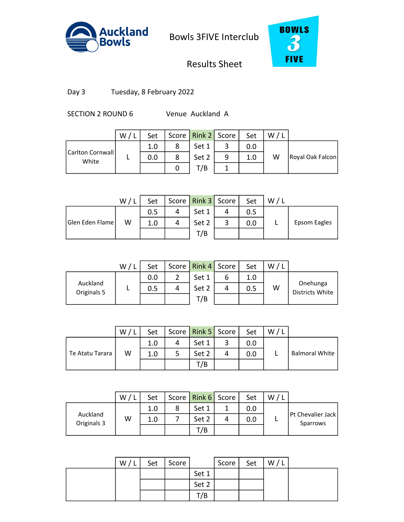



# Results Sheet

Day 3 Tuesday, 8 February 2022

SECTION 2 ROUND 6 Venue Auckland A

|                           | W/ | Set |   | Score   Rink 2   Score |   | Set | W/1 |                  |
|---------------------------|----|-----|---|------------------------|---|-----|-----|------------------|
|                           |    | 1.0 | 8 | Set 1                  |   | 0.0 |     |                  |
| Carlton Cornwall<br>White |    | 0.0 | 8 | Set 2                  | 9 | 1.0 | W   | Royal Oak Falcon |
|                           |    |     |   | T/B                    |   |     |     |                  |
|                           |    |     |   |                        |   |     |     |                  |

|                 | W/1 | Set |   | Score Rink 3 Score | Set | W |              |
|-----------------|-----|-----|---|--------------------|-----|---|--------------|
|                 |     | 0.5 |   | Set 1              |     |   |              |
| Glen Eden Flame | W   |     | 4 | Set 2              | 0.0 |   | Epsom Eagles |
|                 |     |     |   | T/B                |     |   |              |

|                         | W/1 | Set |   | Score   Rink 4   Score |   | Set | W |                             |
|-------------------------|-----|-----|---|------------------------|---|-----|---|-----------------------------|
|                         |     | 0.0 | ົ | Set 1                  | 6 | 1.0 |   |                             |
| Auckland<br>Originals 5 |     | 0.5 | 4 | Set 2                  | 4 | 0.5 | W | Onehunga<br>Districts White |
|                         |     |     |   | T/B                    |   |     |   |                             |
|                         |     |     |   |                        |   |     |   |                             |

|                 | W | Set | Score   Rink 5   Score | Set | W / L |                       |
|-----------------|---|-----|------------------------|-----|-------|-----------------------|
|                 |   | 1.0 | Set 1                  | 0.0 |       |                       |
| Te Atatu Tarara | W | 1.0 | Set 2                  | 0.0 |       | <b>Balmoral White</b> |
|                 |   |     | T/B                    |     |       |                       |

|                         | W | Set | Score   Rink 6   Score | Set | W |                               |
|-------------------------|---|-----|------------------------|-----|---|-------------------------------|
|                         |   | 1.0 | Set 1                  | 0.0 |   |                               |
| Auckland<br>Originals 3 | W | 1.0 | Set 2                  | 0.0 |   | Pt Chevalier Jack<br>Sparrows |
|                         |   |     | T/B                    |     |   |                               |

3 2.0 15 5 0.0 0

| W/L | Set | Score |       | Score | Set | W/L |  |
|-----|-----|-------|-------|-------|-----|-----|--|
|     |     |       | Set 1 |       |     |     |  |
|     |     |       | Set 2 |       |     |     |  |
|     |     |       | T/B   |       |     |     |  |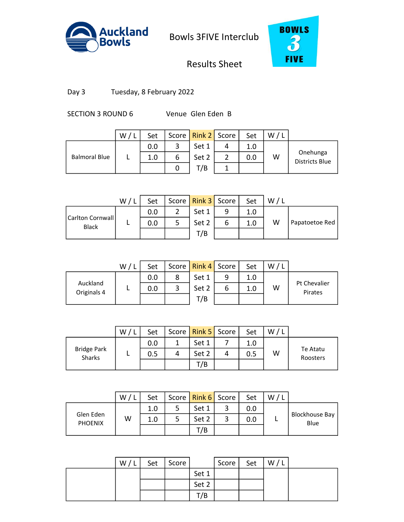



# Results Sheet

Day 3 Tuesday, 8 February 2022

SECTION 3 ROUND 6 Venue Glen Eden B

|                      | $W$ , | Set |   | Score   Rink 2   Score |   | Set | W |                                   |
|----------------------|-------|-----|---|------------------------|---|-----|---|-----------------------------------|
|                      |       | 0.0 | 3 | Set 1                  | 4 | 1.0 |   |                                   |
| <b>Balmoral Blue</b> |       | 1.0 | 6 | Set 2                  |   | 0.0 | W | Onehunga<br><b>Districts Blue</b> |
|                      |       |     |   | T/B                    |   |     |   |                                   |
|                      |       |     |   |                        |   |     |   |                                   |

|                                    | W/1 | Set | Score   Rink 3   Score |   | Set | W |                |
|------------------------------------|-----|-----|------------------------|---|-----|---|----------------|
|                                    |     | 0.0 | Set 1                  | q | 1.0 |   |                |
| Carlton Cornwall  <br><b>Black</b> |     | 0.0 | Set 2                  | o | 1.0 | W | Papatoetoe Red |
|                                    |     |     | T/B                    |   |     |   |                |

|                         | W/l | Set |   | Score   Rink 4   Score |   | Set | W/l |                         |
|-------------------------|-----|-----|---|------------------------|---|-----|-----|-------------------------|
|                         |     | 0.0 | 8 | Set 1                  | 9 | 1.0 |     |                         |
| Auckland<br>Originals 4 |     | 0.0 | 3 | Set 2                  | ь | 1.0 | W   | Pt Chevalier<br>Pirates |
|                         |     |     |   | T/B                    |   |     |     |                         |
|                         |     |     |   |                        |   |     |     |                         |

|                                     | W | Set |   | Score   Rink 5   Score | Set | W |                      |
|-------------------------------------|---|-----|---|------------------------|-----|---|----------------------|
|                                     |   | 0.0 |   | Set 1                  | 1.0 |   |                      |
| <b>Bridge Park</b><br><b>Sharks</b> | − | 0.5 | 4 | Set 2                  | 0.5 | W | Te Atatu<br>Roosters |
|                                     |   |     |   | T/B                    |     |   |                      |

|                             | W / L | Set |   | Score   Rink 6   Score | Set | W/L |                               |
|-----------------------------|-------|-----|---|------------------------|-----|-----|-------------------------------|
| Glen Eden<br><b>PHOENIX</b> | W     | 1.0 | 5 | Set 1                  | 0.0 |     | <b>Blockhouse Bay</b><br>Blue |
|                             |       | 1.0 |   | Set 2                  | 0.0 |     |                               |
|                             |       |     |   | T/B                    |     |     |                               |
|                             |       |     |   |                        |     |     |                               |

| W/l | Set | Score |       | Score | Set | W/L |  |
|-----|-----|-------|-------|-------|-----|-----|--|
|     |     |       | Set 1 |       |     |     |  |
|     |     |       | Set 2 |       |     |     |  |
|     |     |       | T/B   |       |     |     |  |